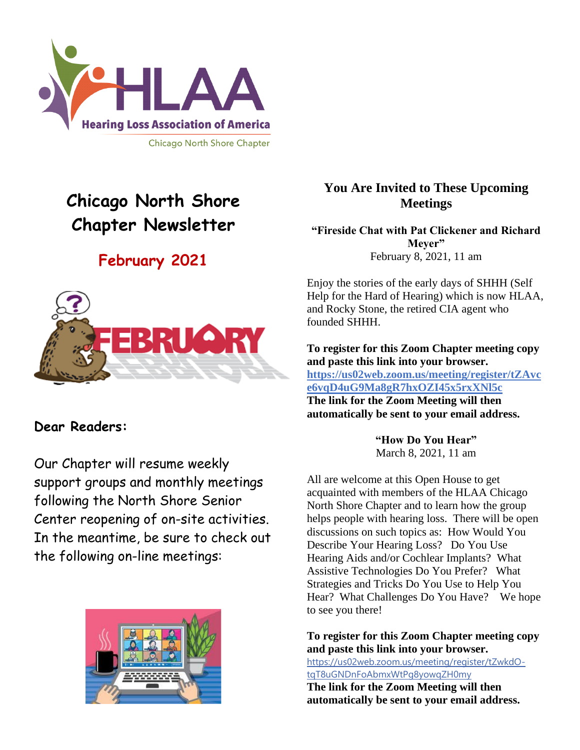

# **Chicago North Shore Chapter Newsletter**

# **February 2021**



# **Dear Readers:**

Our Chapter will resume weekly support groups and monthly meetings following the North Shore Senior Center reopening of on-site activities. In the meantime, be sure to check out the following on-line meetings:



# **You Are Invited to These Upcoming Meetings**

**"Fireside Chat with Pat Clickener and Richard Meyer"** February 8, 2021, 11 am

Enjoy the stories of the early days of SHHH (Self Help for the Hard of Hearing) which is now HLAA, and Rocky Stone, the retired CIA agent who founded SHHH.

**To register for this Zoom Chapter meeting copy and paste this link into your browser. https://us02web.zoom.us/meeting/register/tZAvc e6vqD4uG9Ma8gR7hxOZI45x5rxXNl5c The link for the Zoom Meeting will then automatically be sent to your email address.**

> **"How Do You Hear"** March 8, 2021, 11 am

All are welcome at this Open House to get acquainted with members of the HLAA Chicago North Shore Chapter and to learn how the group helps people with hearing loss. There will be open discussions on such topics as: How Would You Describe Your Hearing Loss? Do You Use Hearing Aids and/or Cochlear Implants? What Assistive Technologies Do You Prefer? What Strategies and Tricks Do You Use to Help You Hear? What Challenges Do You Have? We hope to see you there!

**To register for this Zoom Chapter meeting copy and paste this link into your browser.**

[https://us02web.zoom.us/meeting/register/tZwkdO](https://us02web.zoom.us/meeting/register/tZwkdO-tqT8uGNDnFoAbmxWtPg8yowqZH0my)[tqT8uGNDnFoAbmxWtPg8yowqZH0my](https://us02web.zoom.us/meeting/register/tZwkdO-tqT8uGNDnFoAbmxWtPg8yowqZH0my)

**The link for the Zoom Meeting will then automatically be sent to your email address.**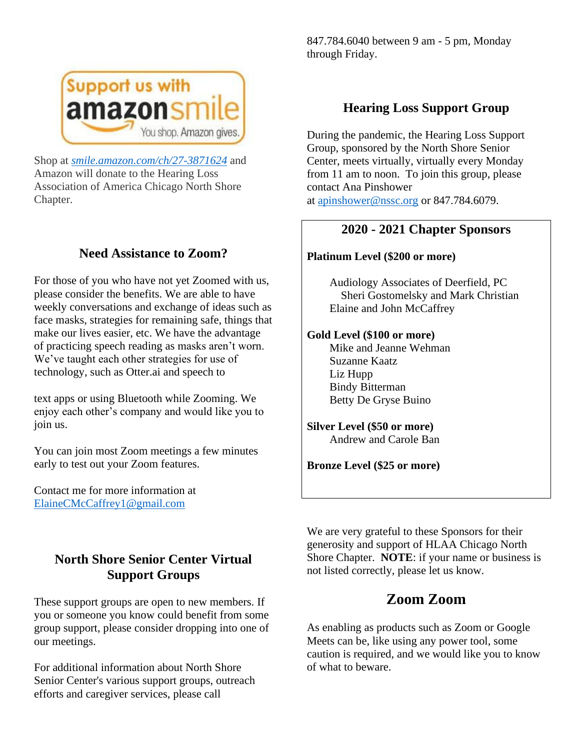

Shop at *[smile.amazon.com/ch/27-3871624](https://smile.amazon.com/gp/f.html?C=1ISN78MKH9BO5&K=335GHMLLUNWPP&M=urn:rtn:msg:201711261709243e998692f70f4f958c3b0d8c4fc0p0na&R=2QXN90TCYDI2Y&T=C&U=http%3A%2F%2Fsmile.amazon.com%2Fch%2F27-3871624&H=TGCVNDHNIX5ZIRJTWBNLXG15NMOA)* and Amazon will donate to the Hearing Loss Association of America Chicago North Shore Chapter.

# **Need Assistance to Zoom?**

For those of you who have not yet Zoomed with us, please consider the benefits. We are able to have weekly conversations and exchange of ideas such as face masks, strategies for remaining safe, things that make our lives easier, etc. We have the advantage of practicing speech reading as masks aren't worn. We've taught each other strategies for use of technology, such as Otter.ai and speech to

text apps or using Bluetooth while Zooming. We enjoy each other's company and would like you to join us.

You can join most Zoom meetings a few minutes early to test out your Zoom features.

Contact me for more information at [ElaineCMcCaffrey1@gmail.com](mailto:ElaineCMcCaffrey1@gmail.com)

847.784.6040 between 9 am - 5 pm, Monday through Friday.

# **Hearing Loss Support Group**

During the pandemic, the Hearing Loss Support Group, sponsored by the North Shore Senior Center, meets virtually, virtually every Monday from 11 am to noon. To join this group, please contact Ana Pinshower at [apinshower@nssc.org](mailto:apinshower@nssc.org) or 847.784.6079.

## **2020 - 2021 Chapter Sponsors**

#### **Platinum Level (\$200 or more)**

 Audiology Associates of Deerfield, PC Sheri Gostomelsky and Mark Christian Elaine and John McCaffrey

#### **Gold Level (\$100 or more)**

 Mike and Jeanne Wehman Suzanne Kaatz Liz Hupp Bindy Bitterman Betty De Gryse Buino

**Silver Level (\$50 or more)** Andrew and Carole Ban

**Bronze Level (\$25 or more)**

# **North Shore Senior Center Virtual Support Groups**

These support groups are open to new members. If you or someone you know could benefit from some group support, please consider dropping into one of our meetings.

For additional information about North Shore Senior Center's various support groups, outreach efforts and caregiver services, please call

We are very grateful to these Sponsors for their generosity and support of HLAA Chicago North Shore Chapter. **NOTE**: if your name or business is not listed correctly, please let us know.

# **Zoom Zoom**

As enabling as products such as Zoom or Google Meets can be, like using any power tool, some caution is required, and we would like you to know of what to beware.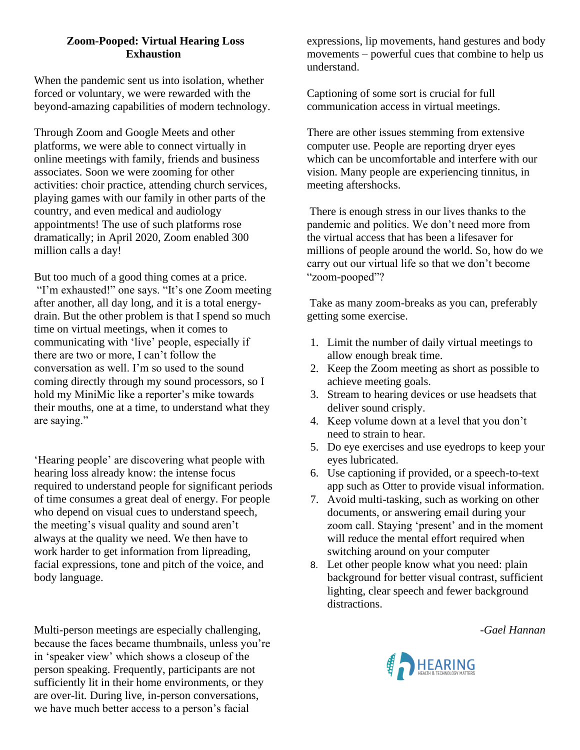## **Zoom-Pooped: Virtual Hearing Loss Exhaustion**

When the pandemic sent us into isolation, whether forced or voluntary, we were rewarded with the beyond-amazing capabilities of modern technology.

Through Zoom and Google Meets and other platforms, we were able to connect virtually in online meetings with family, friends and business associates. Soon we were zooming for other activities: choir practice, attending church services, playing games with our family in other parts of the country, and even medical and audiology appointments! The use of such platforms rose dramatically; in April 2020, Zoom enabled 300 million calls a day!

But too much of a good thing comes at a price. "I'm exhausted!" one says. "It's one Zoom meeting after another, all day long, and it is a total energydrain. But the other problem is that I spend so much time on virtual meetings, when it comes to communicating with 'live' people, especially if there are two or more, I can't follow the conversation as well. I'm so used to the sound coming directly through my sound processors, so I hold my MiniMic like a reporter's mike towards their mouths, one at a time, to understand what they are saying."

'Hearing people' are discovering what people with hearing loss already know: the intense focus required to understand people for significant periods of time consumes a great deal of energy. For people who depend on visual cues to understand speech, the meeting's visual quality and sound aren't always at the quality we need. We then have to work harder to get information from lipreading, facial expressions, tone and pitch of the voice, and body language.

Multi-person meetings are especially challenging, because the faces became thumbnails, unless you're in 'speaker view' which shows a closeup of the person speaking. Frequently, participants are not sufficiently lit in their home environments, or they are over-lit*.* During live, in-person conversations, we have much better access to a person's facial

expressions, lip movements, hand gestures and body movements – powerful cues that combine to help us understand.

Captioning of some sort is crucial for full communication access in virtual meetings.

There are other issues stemming from extensive computer use. People are reporting dryer eyes which can be uncomfortable and interfere with our vision. Many people are experiencing tinnitus, in meeting aftershocks.

There is enough stress in our lives thanks to the pandemic and politics. We don't need more from the virtual access that has been a lifesaver for millions of people around the world. So, how do we carry out our virtual life so that we don't become "zoom-pooped"?

Take as many zoom-breaks as you can, preferably getting some exercise.

- 1. Limit the number of daily virtual meetings to allow enough break time.
- 2. Keep the Zoom meeting as short as possible to achieve meeting goals.
- 3. Stream to hearing devices or use headsets that deliver sound crisply.
- 4. Keep volume down at a level that you don't need to strain to hear.
- 5. Do eye exercises and use eyedrops to keep your eyes lubricated.
- 6. Use captioning if provided, or a speech-to-text app such as Otter to provide visual information.
- 7. Avoid multi-tasking, such as working on other documents, or answering email during your zoom call. Staying 'present' and in the moment will reduce the mental effort required when switching around on your computer
- 8. Let other people know what you need: plain background for better visual contrast, sufficient lighting, clear speech and fewer background distractions.

*-Gael Hannan*

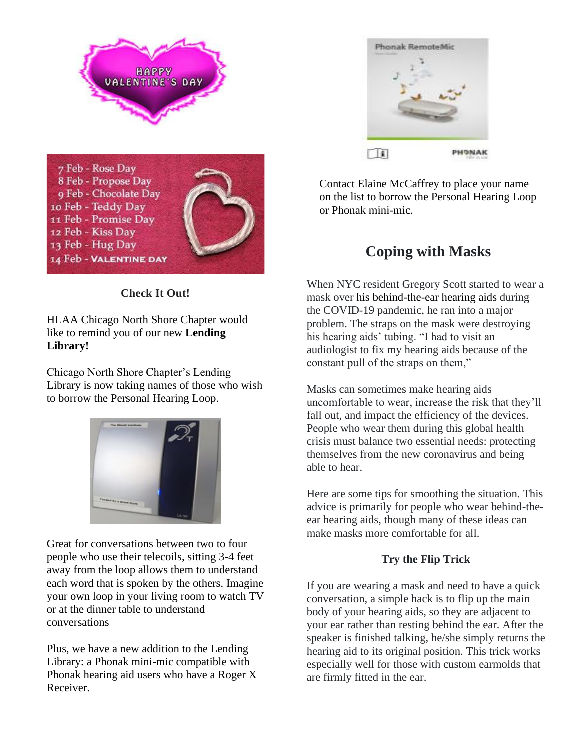

**Check It Out!**

13 Feb - Hug Day

14 Feb - Valentine day

HLAA Chicago North Shore Chapter would like to remind you of our new **Lending Library!**

Chicago North Shore Chapter's Lending Library is now taking names of those who wish to borrow the Personal Hearing Loop.



Great for conversations between two to four people who use their telecoils, sitting 3-4 feet away from the loop allows them to understand each word that is spoken by the others. Imagine your own loop in your living room to watch TV or at the dinner table to understand conversations

Plus, we have a new addition to the Lending Library: a Phonak mini-mic compatible with Phonak hearing aid users who have a Roger X Receiver.



Contact Elaine McCaffrey to place your name on the list to borrow the Personal Hearing Loop or Phonak mini-mic.

# **Coping with Masks**

When NYC resident Gregory Scott started to wear a mask over his [behind-the-ear hearing aids](https://www.hearingtracker.com/hearing-aids/) during the COVID-19 pandemic, he ran into a major problem. The straps on the mask were destroying his hearing aids' tubing. "I had to visit an audiologist to fix my hearing aids because of the constant pull of the straps on them,"

Masks can sometimes make hearing aids uncomfortable to wear, increase the risk that they'll fall out, and impact the efficiency of the devices. People who wear them during this global health crisis must balance two essential needs: protecting themselves from the new coronavirus and being able to hear.

Here are some tips for smoothing the situation. This advice is primarily for people who wear behind-theear hearing aids, though many of these ideas can make masks more comfortable for all.

# **Try the Flip Trick**

If you are wearing a mask and need to have a quick conversation, a simple hack is to flip up the main body of your hearing aids, so they are adjacent to your ear rather than resting behind the ear. After the speaker is finished talking, he/she simply returns the hearing aid to its original position. This trick works especially well for those with custom earmolds that are firmly fitted in the ear.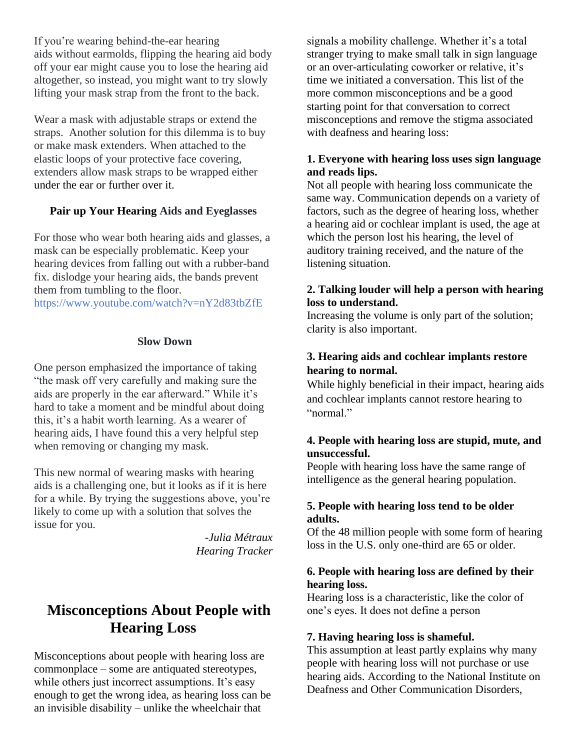If you're wearing behind-the-ear hearing aids without earmolds, flipping the hearing aid body off your ear might cause you to lose the hearing aid altogether, so instead, you might want to try slowly lifting your mask strap from the front to the back.

Wear a mask with adjustable straps or extend the straps. Another solution for this dilemma is to buy or make mask extenders. When attached to the elastic loops of your protective face covering, extenders allow mask straps to be wrapped either under the ear or further over it.

#### **Pair up Your Hearing Aids and Eyeglasses**

For those who wear both hearing aids and glasses, a mask can be especially problematic. Keep your hearing devices from falling out with a rubber-band fix. dislodge your hearing aids, the bands prevent them from tumbling to the floor.

https://www.youtube.com/watch?v=nY2d83tbZfE

#### **Slow Down**

One person emphasized the importance of taking "the mask off very carefully and making sure the aids are properly in the ear afterward." While it's hard to take a moment and be mindful about doing this, it's a habit worth learning. As a wearer of hearing aids, I have found this a very helpful step when removing or changing my mask.

This new normal of wearing masks with hearing aids is a challenging one, but it looks as if it is here for a while. By trying the suggestions above, you're likely to come up with a solution that solves the issue for you.

> -*[Julia Métraux](https://www.hearingtracker.com/authors/julia-metraux) Hearing Tracker*

# **[Misconceptions About People with](https://hearinghealthfoundation.org/blogs/17-misconceptions-people-with-hearing-loss)  [Hearing Loss](https://hearinghealthfoundation.org/blogs/17-misconceptions-people-with-hearing-loss)**

Misconceptions about people with hearing loss are commonplace – some are antiquated stereotypes, while others just incorrect assumptions. It's easy enough to get the wrong idea, as hearing loss can be an invisible disability – unlike the wheelchair that

signals a mobility challenge. Whether it's a total stranger trying to make small talk in sign language or an over-articulating coworker or relative, it's time we initiated a conversation. This list of the more common misconceptions and be a good starting point for that conversation to correct misconceptions and remove the stigma associated with deafness and hearing loss:

#### **1. Everyone with hearing loss uses sign language and reads lips.**

Not all people with hearing loss communicate the same way. Communication depends on a variety of factors, such as the degree of hearing loss, whether a hearing aid or cochlear implant is used, the age at which the person lost his hearing, the level of auditory training received, and the nature of the listening situation.

#### **2. Talking louder will help a person with hearing loss to understand.**

Increasing the volume is only part of the solution; clarity is also important.

## **3. Hearing aids and cochlear implants restore hearing to normal.**

While highly beneficial in their impact, hearing aids and cochlear implants cannot restore hearing to "normal."

#### **4. People with hearing loss are stupid, mute, and unsuccessful.**

People with hearing loss have the same range of intelligence as the general hearing population.

#### **5. People with hearing loss tend to be older adults.**

Of the 48 million people with some form of hearing loss in the U.S. only one-third are 65 or older.

#### **6. People with hearing loss are defined by their hearing loss.**

Hearing loss is a characteristic, like the color of one's eyes. It does not define a person

#### **7. Having hearing loss is shameful.**

This assumption at least partly explains why many people with hearing loss will not purchase or use hearing aids. According to the National Institute on Deafness and Other Communication Disorders,